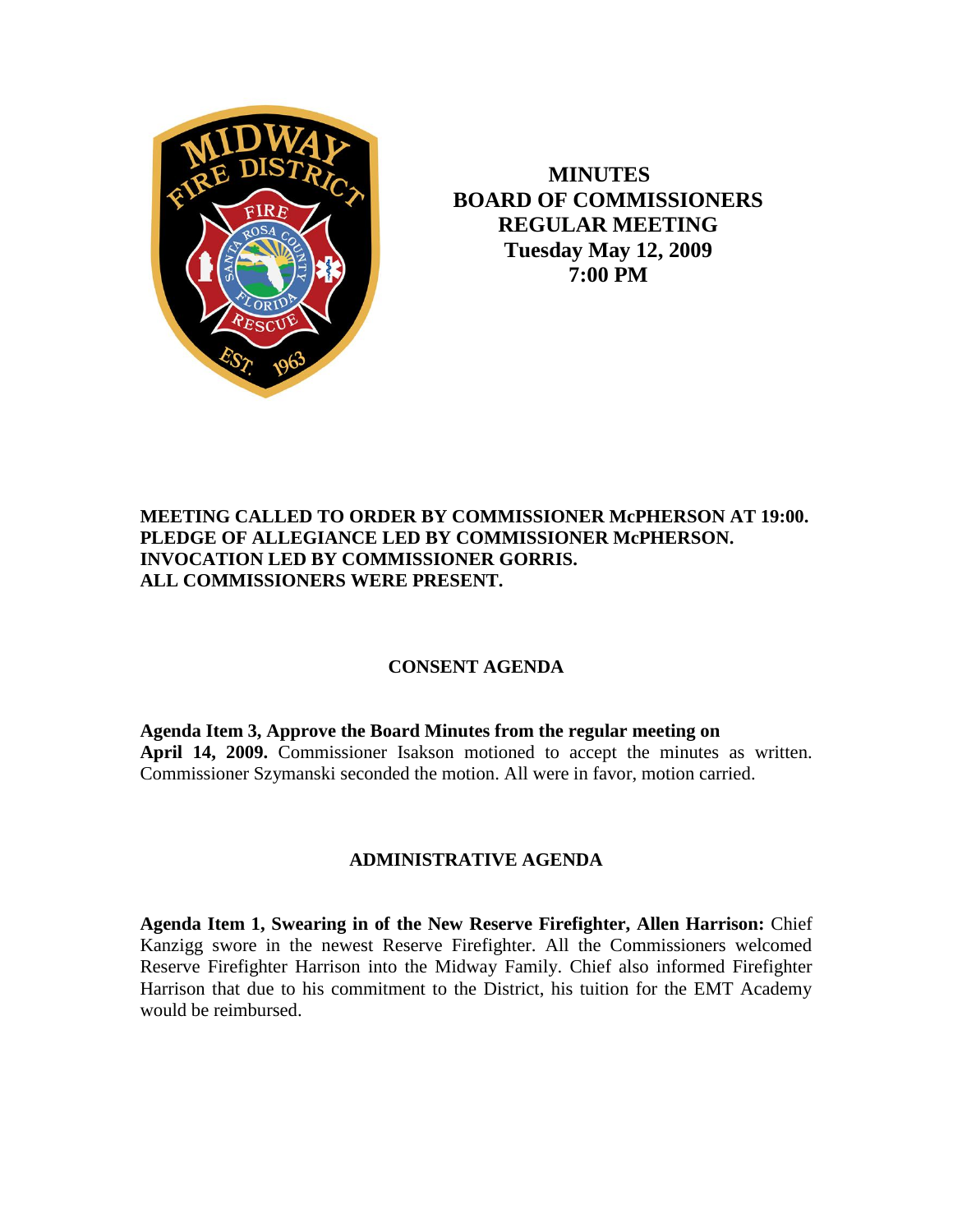

 **MINUTES BOARD OF COMMISSIONERS REGULAR MEETING Tuesday May 12, 2009 7:00 PM**

## **MEETING CALLED TO ORDER BY COMMISSIONER McPHERSON AT 19:00. PLEDGE OF ALLEGIANCE LED BY COMMISSIONER McPHERSON. INVOCATION LED BY COMMISSIONER GORRIS. ALL COMMISSIONERS WERE PRESENT.**

## **CONSENT AGENDA**

**Agenda Item 3, Approve the Board Minutes from the regular meeting on April 14, 2009.** Commissioner Isakson motioned to accept the minutes as written. Commissioner Szymanski seconded the motion. All were in favor, motion carried.

## **ADMINISTRATIVE AGENDA**

**Agenda Item 1, Swearing in of the New Reserve Firefighter, Allen Harrison:** Chief Kanzigg swore in the newest Reserve Firefighter. All the Commissioners welcomed Reserve Firefighter Harrison into the Midway Family. Chief also informed Firefighter Harrison that due to his commitment to the District, his tuition for the EMT Academy would be reimbursed.